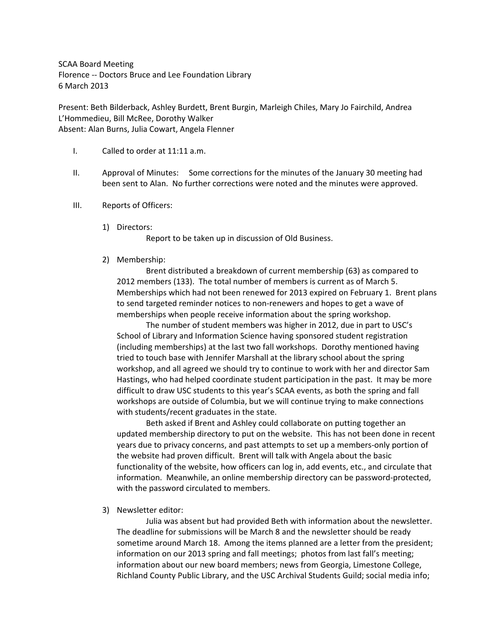SCAA Board Meeting Florence ‐‐ Doctors Bruce and Lee Foundation Library 6 March 2013

Present: Beth Bilderback, Ashley Burdett, Brent Burgin, Marleigh Chiles, Mary Jo Fairchild, Andrea L'Hommedieu, Bill McRee, Dorothy Walker Absent: Alan Burns, Julia Cowart, Angela Flenner

- I. Called to order at 11:11 a.m.
- II. Approval of Minutes: Some corrections for the minutes of the January 30 meeting had been sent to Alan. No further corrections were noted and the minutes were approved.
- III. Reports of Officers:
	- 1) Directors:

Report to be taken up in discussion of Old Business.

2) Membership:

Brent distributed a breakdown of current membership (63) as compared to 2012 members (133). The total number of members is current as of March 5. Memberships which had not been renewed for 2013 expired on February 1. Brent plans to send targeted reminder notices to non-renewers and hopes to get a wave of memberships when people receive information about the spring workshop.

The number of student members was higher in 2012, due in part to USC's School of Library and Information Science having sponsored student registration (including memberships) at the last two fall workshops. Dorothy mentioned having tried to touch base with Jennifer Marshall at the library school about the spring workshop, and all agreed we should try to continue to work with her and director Sam Hastings, who had helped coordinate student participation in the past. It may be more difficult to draw USC students to this year's SCAA events, as both the spring and fall workshops are outside of Columbia, but we will continue trying to make connections with students/recent graduates in the state.

Beth asked if Brent and Ashley could collaborate on putting together an updated membership directory to put on the website. This has not been done in recent years due to privacy concerns, and past attempts to set up a members‐only portion of the website had proven difficult. Brent will talk with Angela about the basic functionality of the website, how officers can log in, add events, etc., and circulate that information. Meanwhile, an online membership directory can be password-protected, with the password circulated to members.

3) Newsletter editor:

Julia was absent but had provided Beth with information about the newsletter. The deadline for submissions will be March 8 and the newsletter should be ready sometime around March 18. Among the items planned are a letter from the president; information on our 2013 spring and fall meetings; photos from last fall's meeting; information about our new board members; news from Georgia, Limestone College, Richland County Public Library, and the USC Archival Students Guild; social media info;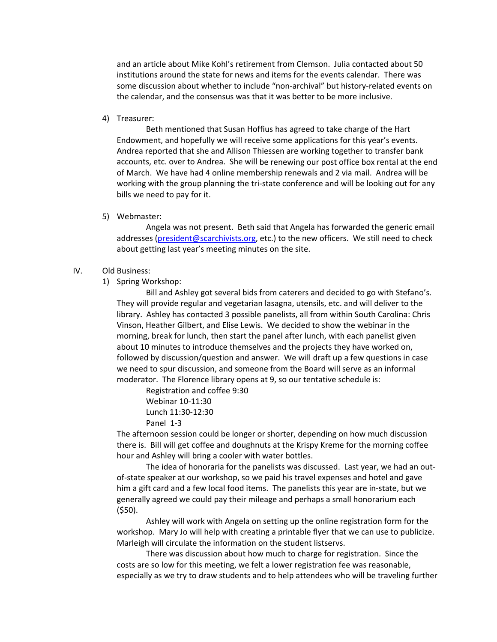and an article about Mike Kohl's retirement from Clemson. Julia contacted about 50 institutions around the state for news and items for the events calendar. There was some discussion about whether to include "non-archival" but history-related events on the calendar, and the consensus was that it was better to be more inclusive.

4) Treasurer:

Beth mentioned that Susan Hoffius has agreed to take charge of the Hart Endowment, and hopefully we will receive some applications for this year's events. Andrea reported that she and Allison Thiessen are working together to transfer bank accounts, etc. over to Andrea. She will be renewing our post office box rental at the end of March. We have had 4 online membership renewals and 2 via mail. Andrea will be working with the group planning the tri-state conference and will be looking out for any bills we need to pay for it.

5) Webmaster:

Angela was not present. Beth said that Angela has forwarded the generic email addresses (president@scarchivists.org, etc.) to the new officers. We still need to check about getting last year's meeting minutes on the site.

## IV. Old Business:

1) Spring Workshop:

Bill and Ashley got several bids from caterers and decided to go with Stefano's. They will provide regular and vegetarian lasagna, utensils, etc. and will deliver to the library. Ashley has contacted 3 possible panelists, all from within South Carolina: Chris Vinson, Heather Gilbert, and Elise Lewis. We decided to show the webinar in the morning, break for lunch, then start the panel after lunch, with each panelist given about 10 minutes to introduce themselves and the projects they have worked on, followed by discussion/question and answer. We will draft up a few questions in case we need to spur discussion, and someone from the Board will serve as an informal moderator. The Florence library opens at 9, so our tentative schedule is:

Registration and coffee 9:30 Webinar 10‐11:30 Lunch 11:30‐12:30 Panel 1‐3

The afternoon session could be longer or shorter, depending on how much discussion there is. Bill will get coffee and doughnuts at the Krispy Kreme for the morning coffee hour and Ashley will bring a cooler with water bottles.

The idea of honoraria for the panelists was discussed. Last year, we had an out‐ of‐state speaker at our workshop, so we paid his travel expenses and hotel and gave him a gift card and a few local food items. The panelists this year are in‐state, but we generally agreed we could pay their mileage and perhaps a small honorarium each (\$50).

Ashley will work with Angela on setting up the online registration form for the workshop. Mary Jo will help with creating a printable flyer that we can use to publicize. Marleigh will circulate the information on the student listservs.

There was discussion about how much to charge for registration. Since the costs are so low for this meeting, we felt a lower registration fee was reasonable, especially as we try to draw students and to help attendees who will be traveling further